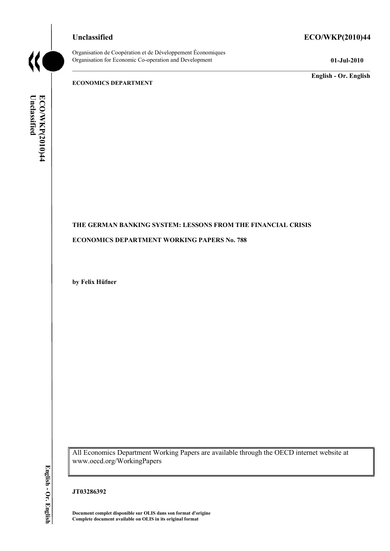Organisation de Coopération et de Développement Économiques Organisation for Economic Co-operation and Development **01-Jul-2010** 

### **Unclassified ECO/WKP(2010)44**

**English - Or. English** 

#### **ECONOMICS DEPARTMENT**

Unclassified ECO/WKP(2010)44 **Unclassified ECO/WKP(2010)44 English - Or. English**

#### **THE GERMAN BANKING SYSTEM: LESSONS FROM THE FINANCIAL CRISIS**

#### **ECONOMICS DEPARTMENT WORKING PAPERS No. 788**

**by Felix Hüfner** 

All Economics Department Working Papers are available through the OECD internet website at www.oecd.org/WorkingPapers

English - Or. English

**JT03286392** 

**Document complet disponible sur OLIS dans son format d'origine Complete document available on OLIS in its original format**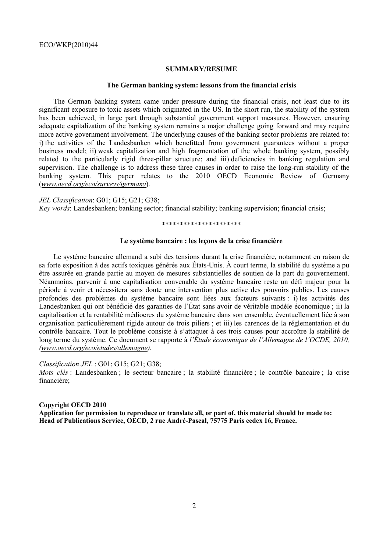#### **SUMMARY/RESUME**

#### **The German banking system: lessons from the financial crisis**

The German banking system came under pressure during the financial crisis, not least due to its significant exposure to toxic assets which originated in the US. In the short run, the stability of the system has been achieved, in large part through substantial government support measures. However, ensuring adequate capitalization of the banking system remains a major challenge going forward and may require more active government involvement. The underlying causes of the banking sector problems are related to: i) the activities of the Landesbanken which benefitted from government guarantees without a proper business model; ii) weak capitalization and high fragmentation of the whole banking system, possibly related to the particularly rigid three-pillar structure; and iii) deficiencies in banking regulation and supervision. The challenge is to address these three causes in order to raise the long-run stability of the banking system. This paper relates to the 2010 OECD Economic Review of Germany (*www.oecd.org/eco/surveys/germany*).

*JEL Classification*: G01; G15; G21; G38; *Key words*: Landesbanken; banking sector; financial stability; banking supervision; financial crisis;

#### \*\*\*\*\*\*\*\*\*\*\*\*\*\*\*\*\*\*\*\*\*\*

#### **Le système bancaire : les leçons de la crise financière**

Le système bancaire allemand a subi des tensions durant la crise financière, notamment en raison de sa forte exposition à des actifs toxiques générés aux États-Unis. À court terme, la stabilité du système a pu être assurée en grande partie au moyen de mesures substantielles de soutien de la part du gouvernement. Néanmoins, parvenir à une capitalisation convenable du système bancaire reste un défi majeur pour la période à venir et nécessitera sans doute une intervention plus active des pouvoirs publics. Les causes profondes des problèmes du système bancaire sont liées aux facteurs suivants : i) les activités des Landesbanken qui ont bénéficié des garanties de l'État sans avoir de véritable modèle économique ; ii) la capitalisation et la rentabilité médiocres du système bancaire dans son ensemble, éventuellement liée à son organisation particulièrement rigide autour de trois piliers ; et iii) les carences de la réglementation et du contrôle bancaire. Tout le problème consiste à s'attaquer à ces trois causes pour accroître la stabilité de long terme du système. Ce document se rapporte à *l'Étude économique de l'Allemagne de l'OCDE, 2010, (www.oecd.org/eco/etudes/allemagne).* 

#### *Classification JEL* : G01; G15; G21; G38;

*Mots clés* : Landesbanken ; le secteur bancaire ; la stabilité financière ; le contrôle bancaire ; la crise financière;

**Copyright OECD 2010 Application for permission to reproduce or translate all, or part of, this material should be made to: Head of Publications Service, OECD, 2 rue André-Pascal, 75775 Paris cedex 16, France.**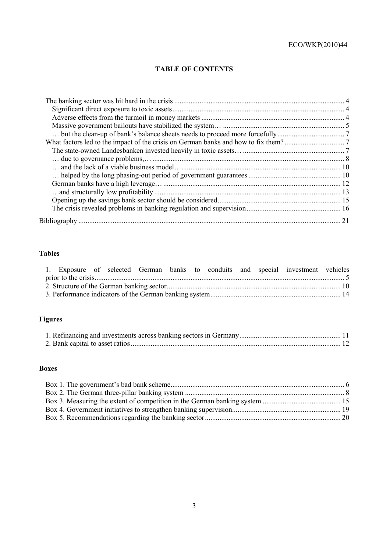### **TABLE OF CONTENTS**

### **Tables**

|  |  |  |  |  |  |  |  |  | 1. Exposure of selected German banks to conduits and special investment vehicles |  |
|--|--|--|--|--|--|--|--|--|----------------------------------------------------------------------------------|--|
|  |  |  |  |  |  |  |  |  |                                                                                  |  |
|  |  |  |  |  |  |  |  |  |                                                                                  |  |
|  |  |  |  |  |  |  |  |  |                                                                                  |  |

## **Figures**

### **Boxes**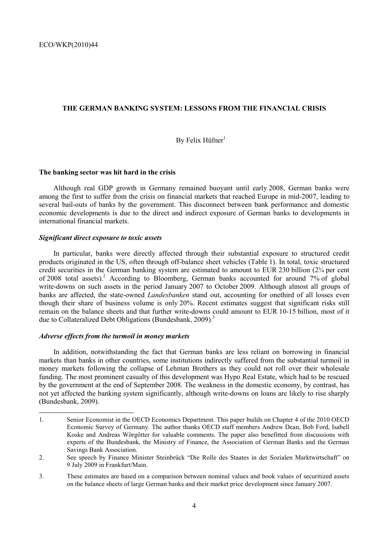#### **THE GERMAN BANKING SYSTEM: LESSONS FROM THE FINANCIAL CRISIS**

### By Felix Hüfner $<sup>1</sup>$ .</sup>

#### **The banking sector was hit hard in the crisis**

Although real GDP growth in Germany remained buoyant until early 2008, German banks were among the first to suffer from the crisis on financial markets that reached Europe in mid-2007, leading to several bail-outs of banks by the government. This disconnect between bank performance and domestic economic developments is due to the direct and indirect exposure of German banks to developments in international financial markets.

#### *Significant direct exposure to toxic assets*

In particular, banks were directly affected through their substantial exposure to structured credit products originated in the US, often through off-balance sheet vehicles (Table 1). In total, toxic structured credit securities in the German banking system are estimated to amount to EUR 230 billion (2¾ per cent of 2008 total assets).<sup>2</sup> According to Bloomberg, German banks accounted for around 7% of global write-downs on such assets in the period January 2007 to October 2009. Although almost all groups of banks are affected, the state-owned *Landesbanken* stand out, accounting for onethird of all losses even though their share of business volume is only 20%. Recent estimates suggest that significant risks still remain on the balance sheets and that further write-downs could amount to EUR 10-15 billion, most of it due to Collateralized Debt Obligations (Bundesbank, 2009).<sup>3</sup>

#### *Adverse effects from the turmoil in money markets*

 $\overline{a}$ 

In addition, notwithstanding the fact that German banks are less reliant on borrowing in financial markets than banks in other countries, some institutions indirectly suffered from the substantial turmoil in money markets following the collapse of Lehman Brothers as they could not roll over their wholesale funding. The most prominent casualty of this development was Hypo Real Estate, which had to be rescued by the government at the end of September 2008. The weakness in the domestic economy, by contrast, has not yet affected the banking system significantly, although write-downs on loans are likely to rise sharply (Bundesbank, 2009).

<sup>1.</sup> Senior Economist in the OECD Economics Department. This paper builds on Chapter 4 of the 2010 OECD Economic Survey of Germany. The author thanks OECD staff members Andrew Dean, Bob Ford, Isabell Koske and Andreas Wörgötter for valuable comments. The paper also benefitted from discussions with experts of the Bundesbank, the Ministry of Finance, the Association of German Banks and the German Savings Bank Association.

<sup>2.</sup> See speech by Finance Minister Steinbrück "Die Rolle des Staates in der Sozialen Marktwirtschaft" on 9 July 2009 in Frankfurt/Main.

<sup>3.</sup> These estimates are based on a comparison between nominal values and book values of securitized assets on the balance sheets of large German banks and their market price development since January 2007.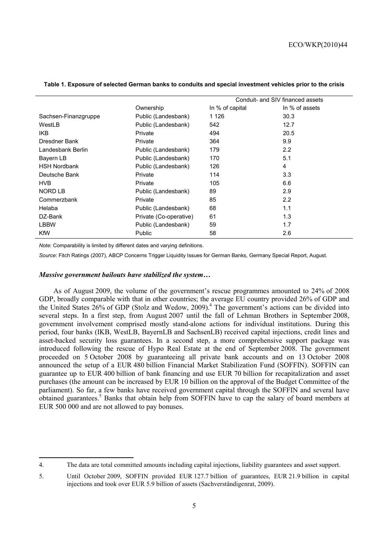|                      |                        | Conduit- and SIV financed assets |                |  |
|----------------------|------------------------|----------------------------------|----------------|--|
|                      | Ownership              | In % of capital                  | In % of assets |  |
| Sachsen-Finanzgruppe | Public (Landesbank)    | 1 1 2 6                          | 30.3           |  |
| WestLB               | Public (Landesbank)    | 542                              | 12.7           |  |
| IKB                  | Private                | 494                              | 20.5           |  |
| Dresdner Bank        | Private                | 364                              | 9.9            |  |
| Landesbank Berlin    | Public (Landesbank)    | 179                              | 2.2            |  |
| Bayern LB            | Public (Landesbank)    | 170                              | 5.1            |  |
| <b>HSH Nordbank</b>  | Public (Landesbank)    | 126                              | 4              |  |
| Deutsche Bank        | Private                | 114                              | 3.3            |  |
| HVB.                 | Private                | 105                              | 6.6            |  |
| NORD LB              | Public (Landesbank)    | 89                               | 2.9            |  |
| Commerzbank          | Private                | 85                               | 2.2            |  |
| Helaba               | Public (Landesbank)    | 68                               | 1.1            |  |
| DZ-Bank              | Private (Co-operative) | 61                               | 1.3            |  |
| <b>LBBW</b>          | Public (Landesbank)    | 59                               | 1.7            |  |
| KfW                  | <b>Public</b>          | 58                               | 2.6            |  |

#### **Table 1. Exposure of selected German banks to conduits and special investment vehicles prior to the crisis**

*Note*: Comparability is limited by different dates and varying definitions.

*Source*: Fitch Ratings (2007), ABCP Concerns Trigger Liquidity Issues for German Banks, Germany Special Report, August.

#### *Massive government bailouts have stabilized the system…*

 $\overline{a}$ 

As of August 2009, the volume of the government's rescue programmes amounted to 24% of 2008 GDP, broadly comparable with that in other countries; the average EU country provided 26% of GDP and the United States 26% of GDP (Stolz and Wedow, 2009).<sup>4</sup> The government's actions can be divided into several steps. In a first step, from August 2007 until the fall of Lehman Brothers in September 2008, government involvement comprised mostly stand-alone actions for individual institutions. During this period, four banks (IKB, WestLB, BayernLB and SachsenLB) received capital injections, credit lines and asset-backed security loss guarantees. In a second step, a more comprehensive support package was introduced following the rescue of Hypo Real Estate at the end of September 2008. The government proceeded on 5 October 2008 by guaranteeing all private bank accounts and on 13 October 2008 announced the setup of a EUR 480 billion Financial Market Stabilization Fund (SOFFIN). SOFFIN can guarantee up to EUR 400 billion of bank financing and use EUR 70 billion for recapitalization and asset purchases (the amount can be increased by EUR 10 billion on the approval of the Budget Committee of the parliament). So far, a few banks have received government capital through the SOFFIN and several have obtained guarantees.<sup>5</sup> Banks that obtain help from SOFFIN have to cap the salary of board members at EUR 500 000 and are not allowed to pay bonuses.

<sup>4.</sup> The data are total committed amounts including capital injections, liability guarantees and asset support.

<sup>5.</sup> Until October 2009, SOFFIN provided EUR 127.7 billion of guarantees, EUR 21.9 billion in capital injections and took over EUR 5.9 billion of assets (Sachverständigenrat, 2009).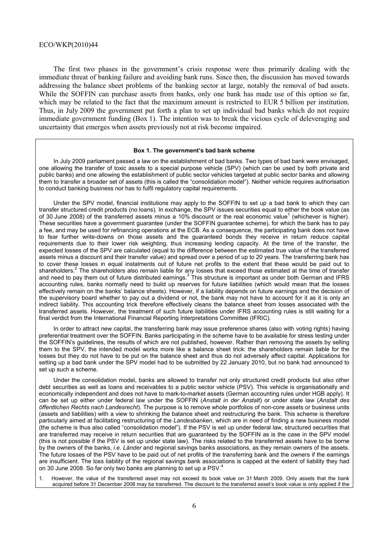The first two phases in the government's crisis response were thus primarily dealing with the immediate threat of banking failure and avoiding bank runs. Since then, the discussion has moved towards addressing the balance sheet problems of the banking sector at large, notably the removal of bad assets. While the SOFFIN can purchase assets from banks, only one bank has made use of this option so far, which may be related to the fact that the maximum amount is restricted to EUR 5 billion per institution. Thus, in July 2009 the government put forth a plan to set up individual bad banks which do not require immediate government funding (Box 1). The intention was to break the vicious cycle of deleveraging and uncertainty that emerges when assets previously not at risk become impaired.

#### **Box 1. The government's bad bank scheme**

In July 2009 parliament passed a law on the establishment of bad banks. Two types of bad bank were envisaged, one allowing the transfer of toxic assets to a special purpose vehicle (SPV) (which can be used by both private and public banks) and one allowing the establishment of public sector vehicles targeted at public sector banks and allowing them to transfer a broader set of assets (this is called the "consolidation model"). Neither vehicle requires authorisation to conduct banking business nor has to fulfil regulatory capital requirements.

Under the SPV model, financial institutions may apply to the SOFFIN to set up a bad bank to which they can transfer structured credit products (no loans). In exchange, the SPV issues securities equal to either the book value (as of 30 June 2008) of the transferred assets minus a 10% discount or the real economic value<sup>1</sup> (whichever is higher). These securities have a government guarantee (under the SOFFIN guarantee scheme), for which the bank has to pay a fee, and may be used for refinancing operations at the ECB. As a consequence, the participating bank does not have to fear further write-downs on those assets and the guaranteed bonds they receive in return reduce capital requirements due to their lower risk weighting, thus increasing lending capacity. At the time of the transfer, the expected losses of the SPV are calculated (equal to the difference between the estimated true value of the transferred assets minus a discount and their transfer value) and spread over a period of up to 20 years. The transferring bank has to cover these losses in equal instalments out of future net profits to the extent that these would be paid out to shareholders.<sup>2</sup> The shareholders also remain liable for any losses that exceed those estimated at the time of transfer and need to pay them out of future distributed earnings.<sup>3</sup> This structure is important as under both German and IFRS accounting rules, banks normally need to build up reserves for future liabilities (which would mean that the losses effectively remain on the banks' balance sheets). However, if a liability depends on future earnings and the decision of the supervisory board whether to pay out a dividend or not, the bank may not have to account for it as it is only an indirect liability. This accounting trick therefore effectively cleans the balance sheet from losses associated with the transferred assets. However, the treatment of such future liabilities under IFRS accounting rules is still waiting for a final verdict from the International Financial Reporting Interpretations Committee (IFRIC).

In order to attract new capital, the transferring bank may issue preference shares (also with voting rights) having preferential treatment over the SOFFIN. Banks participating in the scheme have to be available for stress testing under the SOFFIN's guidelines, the results of which are not published, however. Rather than removing the assets by selling them to the SPV, the intended model works more like a balance sheet trick: the shareholders remain liable for the losses but they do not have to be put on the balance sheet and thus do not adversely affect capital. Applications for setting up a bad bank under the SPV model had to be submitted by 22 January 2010, but no bank had announced to set up such a scheme.

Under the consolidation model, banks are allowed to transfer not only structured credit products but also other debt securities as well as loans and receivables to a public sector vehicle (PSV). This vehicle is organisationally and economically independent and does not have to mark-to-market assets (German accounting rules under HGB apply). It can be set up either under federal law under the SOFFIN (*Anstalt in der Anstalt*) or under state law (*Anstalt des öffentlichen Rechts nach Landesrecht*). The purpose is to remove whole portfolios of non-core assets or business units (assets and liabilities) with a view to shrinking the balance sheet and restructuring the bank. This scheme is therefore particularly aimed at facilitating restructuring of the *Landesbanken*, which are in need of finding a new business model (the scheme is thus also called "consolidation model"). If the PSV is set up under federal law, structured securities that are transferred may receive in return securities that are guaranteed by the SOFFIN as is the case in the SPV model (this is not possible if the PSV is set up under state law). The risks related to the transferred assets have to be borne by the owners of the banks, *i.e. Länder* and regional savings banks associations, as they remain owners of the assets. The future losses of the PSV have to be paid out of net profits of the transferring bank and the owners if the earnings are insufficient. The loss liability of the regional savings bank associations is capped at the extent of liability they had on 30 June 2008. So far only two banks are planning to set up a PSV.

1. However, the value of the transferred asset may not exceed its book value on 31 March 2009. Only assets that the bank acquired before 31 December 2008 may be transferred. The discount to the transferred asset's book value is only applied if the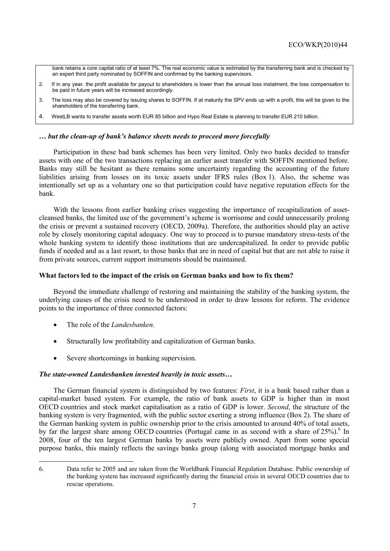bank retains a core capital ratio of at least 7%. The real economic value is estimated by the transferring bank and is checked by an expert third party nominated by SOFFIN and confirmed by the banking supervisors.

- 2. If in any year, the profit available for payout to shareholders is lower than the annual loss instalment, the loss compensation to be paid in future years will be increased accordingly.
- 3. The loss may also be covered by issuing shares to SOFFIN. If at maturity the SPV ends up with a profit, this will be given to the shareholders of the transferring bank.
- 4. WestLB wants to transfer assets worth EUR 85 billion and Hypo Real Estate is planning to transfer EUR 210 billion.

#### *… but the clean-up of bank's balance sheets needs to proceed more forcefully*

Participation in these bad bank schemes has been very limited. Only two banks decided to transfer assets with one of the two transactions replacing an earlier asset transfer with SOFFIN mentioned before. Banks may still be hesitant as there remains some uncertainty regarding the accounting of the future liabilities arising from losses on its toxic assets under IFRS rules (Box 1). Also, the scheme was intentionally set up as a voluntary one so that participation could have negative reputation effects for the bank.

With the lessons from earlier banking crises suggesting the importance of recapitalization of assetcleansed banks, the limited use of the government's scheme is worrisome and could unnecessarily prolong the crisis or prevent a sustained recovery (OECD, 2009a). Therefore, the authorities should play an active role by closely monitoring capital adequacy. One way to proceed is to pursue mandatory stress-tests of the whole banking system to identify those institutions that are undercapitalized. In order to provide public funds if needed and as a last resort, to those banks that are in need of capital but that are not able to raise it from private sources, current support instruments should be maintained.

#### **What factors led to the impact of the crisis on German banks and how to fix them?**

Beyond the immediate challenge of restoring and maintaining the stability of the banking system, the underlying causes of the crisis need to be understood in order to draw lessons for reform. The evidence points to the importance of three connected factors:

- The role of the *Landesbanken*.
- Structurally low profitability and capitalization of German banks.
- Severe shortcomings in banking supervision.

#### *The state-owned Landesbanken invested heavily in toxic assets…*

The German financial system is distinguished by two features: *First*, it is a bank based rather than a capital-market based system. For example, the ratio of bank assets to GDP is higher than in most OECD countries and stock market capitalisation as a ratio of GDP is lower. *Second*, the structure of the banking system is very fragmented, with the public sector exerting a strong influence (Box 2). The share of the German banking system in public ownership prior to the crisis amounted to around 40% of total assets, by far the largest share among OECD countries (Portugal came in as second with a share of 25%).<sup>6</sup> In 2008, four of the ten largest German banks by assets were publicly owned. Apart from some special purpose banks, this mainly reflects the savings banks group (along with associated mortgage banks and

 $\overline{a}$ 6. Data refer to 2005 and are taken from the Worldbank Financial Regulation Database. Public ownership of the banking system has increased significantly during the financial crisis in several OECD countries due to rescue operations.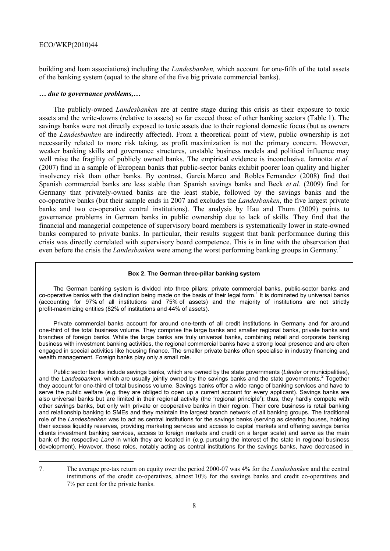building and loan associations) including the *Landesbanken,* which account for one-fifth of the total assets of the banking system (equal to the share of the five big private commercial banks).

#### *… due to governance problems,…*

The publicly-owned *Landesbanken* are at centre stage during this crisis as their exposure to toxic assets and the write-downs (relative to assets) so far exceed those of other banking sectors (Table 1). The savings banks were not directly exposed to toxic assets due to their regional domestic focus (but as owners of the *Landesbanken* are indirectly affected). From a theoretical point of view, public ownership is not necessarily related to more risk taking, as profit maximization is not the primary concern. However, weaker banking skills and governance structures, unstable business models and political influence may well raise the fragility of publicly owned banks. The empirical evidence is inconclusive. Iannotta *et al.* (2007) find in a sample of European banks that public-sector banks exhibit poorer loan quality and higher insolvency risk than other banks. By contrast, Garcia Marco and Robles Fernandez (2008) find that Spanish commercial banks are less stable than Spanish savings banks and Beck *et al.* (2009) find for Germany that privately-owned banks are the least stable, followed by the savings banks and the co-operative banks (but their sample ends in 2007 and excludes the *Landesbanken*, the five largest private banks and two co-operative central institutions). The analysis by Hau and Thum (2009) points to governance problems in German banks in public ownership due to lack of skills. They find that the financial and managerial competence of supervisory board members is systematically lower in state-owned banks compared to private banks. In particular, their results suggest that bank performance during this crisis was directly correlated with supervisory board competence. This is in line with the observation that even before the crisis the *Landesbanken* were among the worst performing banking groups in Germany.<sup>7</sup>

#### **Box 2. The German three-pillar banking system**

The German banking system is divided into three pillars: private commercial banks, public-sector banks and co-operative banks with the distinction being made on the basis of their legal form.<sup>1</sup> It is dominated by universal banks (accounting for 97% of all institutions and 75% of assets) and the majority of institutions are not strictly profit-maximizing entities (82% of institutions and 44% of assets).

Private commercial banks account for around one-tenth of all credit institutions in Germany and for around one-third of the total business volume. They comprise the large banks and smaller regional banks, private banks and branches of foreign banks. While the large banks are truly universal banks, combining retail and corporate banking business with investment banking activities, the regional commercial banks have a strong local presence and are often engaged in special activities like housing finance. The smaller private banks often specialise in industry financing and wealth management. Foreign banks play only a small role.

Public sector banks include savings banks, which are owned by the state governments (*Länder* or municipalities), and the Landesbanken, which are usually jointly owned by the savings banks and the state governments.<sup>2</sup> Together they account for one-third of total business volume. Savings banks offer a wide range of banking services and have to serve the public welfare (*e.g.* they are obliged to open up a current account for every applicant). Savings banks are also universal banks but are limited in their regional activity (the 'regional principle'); thus, they hardly compete with other savings banks, but only with private or cooperative banks in their region. Their core business is retail banking and relationship banking to SMEs and they maintain the largest branch network of all banking groups. The traditional role of the *Landesbanken* was to act as central institutions for the savings banks (serving as clearing houses, holding their excess liquidity reserves, providing marketing services and access to capital markets and offering savings banks clients investment banking services, access to foreign markets and credit on a larger scale) and serve as the main bank of the respective *Land* in which they are located in (*e.g.* pursuing the interest of the state in regional business development). However, these roles, notably acting as central institutions for the savings banks, have decreased in

 $\overline{a}$ 

<sup>7.</sup> The average pre-tax return on equity over the period 2000-07 was 4% for the *Landesbanken* and the central institutions of the credit co-operatives, almost 10% for the savings banks and credit co-operatives and 7½ per cent for the private banks.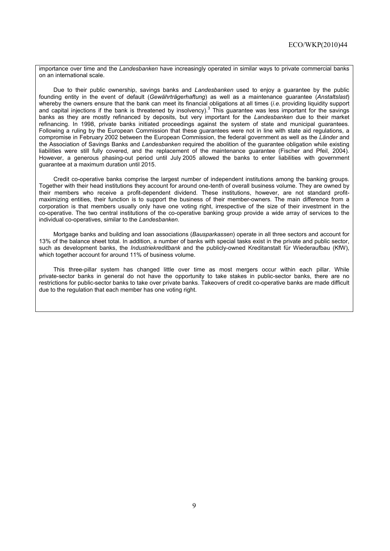importance over time and the *Landesbanken* have increasingly operated in similar ways to private commercial banks on an international scale.

Due to their public ownership, savings banks and *Landesbanken* used to enjoy a guarantee by the public founding entity in the event of default (*Gewährträgerhaftung*) as well as a maintenance guarantee (*Anstaltslast*) whereby the owners ensure that the bank can meet its financial obligations at all times (*i.e.* providing liquidity support and capital injections if the bank is threatened by insolvency).<sup>3</sup> This guarantee was less important for the savings banks as they are mostly refinanced by deposits, but very important for the *Landesbanken* due to their market refinancing. In 1998, private banks initiated proceedings against the system of state and municipal guarantees. Following a ruling by the European Commission that these guarantees were not in line with state aid regulations, a compromise in February 2002 between the European Commission, the federal government as well as the *Länder* and the Association of Savings Banks and *Landesbanken* required the abolition of the guarantee obligation while existing liabilities were still fully covered, and the replacement of the maintenance guarantee (Fischer and Pfeil, 2004). However, a generous phasing-out period until July 2005 allowed the banks to enter liabilities with government guarantee at a maximum duration until 2015.

Credit co-operative banks comprise the largest number of independent institutions among the banking groups. Together with their head institutions they account for around one-tenth of overall business volume. They are owned by their members who receive a profit-dependent dividend. These institutions, however, are not standard profitmaximizing entities, their function is to support the business of their member-owners. The main difference from a corporation is that members usually only have one voting right, irrespective of the size of their investment in the co-operative. The two central institutions of the co-operative banking group provide a wide array of services to the individual co-operatives, similar to the *Landesbanken*.

Mortgage banks and building and loan associations (*Bausparkassen*) operate in all three sectors and account for 13% of the balance sheet total. In addition, a number of banks with special tasks exist in the private and public sector, such as development banks, the *Industriekreditbank* and the publicly-owned Kreditanstalt für Wiederaufbau (KfW), which together account for around 11% of business volume.

This three-pillar system has changed little over time as most mergers occur within each pillar. While private-sector banks in general do not have the opportunity to take stakes in public-sector banks, there are no restrictions for public-sector banks to take over private banks. Takeovers of credit co-operative banks are made difficult due to the regulation that each member has one voting right.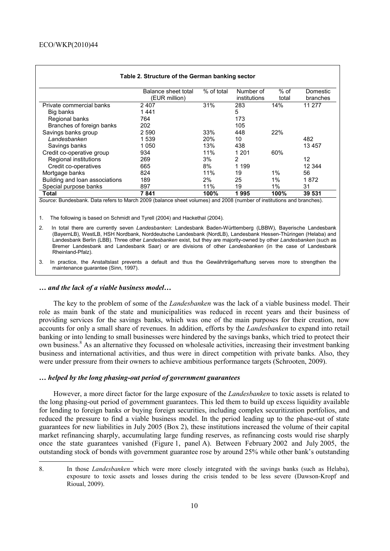|                                | Table 2. Structure of the German banking sector<br>Balance sheet total | % of total | Number of    | $%$ of       | Domestic           |
|--------------------------------|------------------------------------------------------------------------|------------|--------------|--------------|--------------------|
|                                | (EUR million)                                                          | 31%        | institutions | total<br>14% | branches<br>11 277 |
| Private commercial banks       | 2407                                                                   |            | 283          |              |                    |
| Big banks                      | 1441                                                                   |            | 5            |              |                    |
| Regional banks                 | 764                                                                    |            | 173          |              |                    |
| Branches of foreign banks      | 202                                                                    |            | 105          |              |                    |
| Savings banks group            | 2 5 9 0                                                                | 33%        | 448          | 22%          |                    |
| Landesbanken                   | 1 539                                                                  | 20%        | 10           |              | 482                |
| Savings banks                  | 1 050                                                                  | 13%        | 438          |              | 13 457             |
| Credit co-operative group      | 934                                                                    | 11%        | 1 201        | 60%          |                    |
| Regional institutions          | 269                                                                    | 3%         | 2            |              | 12                 |
| Credit co-operatives           | 665                                                                    | 8%         | 1 1 9 9      |              | 12 344             |
| Mortgage banks                 | 824                                                                    | 11%        | 19           | $1\%$        | 56                 |
| Building and loan associations | 189                                                                    | $2\%$      | 25           | $1\%$        | 1872               |
| Special purpose banks          | 897                                                                    | 11%        | 19           | $1\%$        | 31                 |
| Total                          | 7841                                                                   | 100%       | 1995         | 100%         | 39 531             |

*Source*: Bundesbank. Data refers to March 2009 (balance sheet volumes) and 2008 (number of institutions and branches).

1. The following is based on Schmidt and Tyrell (2004) and Hackethal (2004).

2. In total there are currently seven *Landesbanken*: Landesbank Baden-Württemberg (LBBW), Bayerische Landesbank (BayernLB), WestLB, HSH Nordbank, Norddeutsche Landesbank (NordLB), Landesbank Hessen-Thüringen (Helaba) and Landesbank Berlin (LBB). Three other *Landesbanken* exist, but they are majority-owned by other *Landesbanken* (such as Bremer Landesbank and Landesbank Saar) or are divisions of other *Landesbanken* (in the case of Landesbank Rheinland-Pfalz).

3. In practice, the Anstaltslast prevents a default and thus the Gewährträgerhaftung serves more to strengthen the maintenance guarantee (Sinn, 1997).

#### *… and the lack of a viable business model…*

The key to the problem of some of the *Landesbanken* was the lack of a viable business model. Their role as main bank of the state and municipalities was reduced in recent years and their business of providing services for the savings banks, which was one of the main purposes for their creation, now accounts for only a small share of revenues. In addition, efforts by the *Landesbanken* to expand into retail banking or into lending to small businesses were hindered by the savings banks, which tried to protect their own business.<sup>8</sup> As an alternative they focussed on wholesale activities, increasing their investment banking business and international activities, and thus were in direct competition with private banks. Also, they were under pressure from their owners to achieve ambitious performance targets (Schrooten, 2009).

#### *… helped by the long phasing-out period of government guarantees*

However, a more direct factor for the large exposure of the *Landesbanken* to toxic assets is related to the long phasing-out period of government guarantees. This led them to build up excess liquidity available for lending to foreign banks or buying foreign securities, including complex securitization portfolios, and reduced the pressure to find a viable business model. In the period leading up to the phase-out of state guarantees for new liabilities in July 2005 (Box 2), these institutions increased the volume of their capital market refinancing sharply, accumulating large funding reserves, as refinancing costs would rise sharply once the state guarantees vanished (Figure 1, panel A). Between February 2002 and July 2005, the outstanding stock of bonds with government guarantee rose by around 25% while other bank's outstanding

 $\overline{a}$ 

<sup>8.</sup> In those *Landesbanken* which were more closely integrated with the savings banks (such as Helaba), exposure to toxic assets and losses during the crisis tended to be less severe (Dawson-Kropf and Rioual, 2009).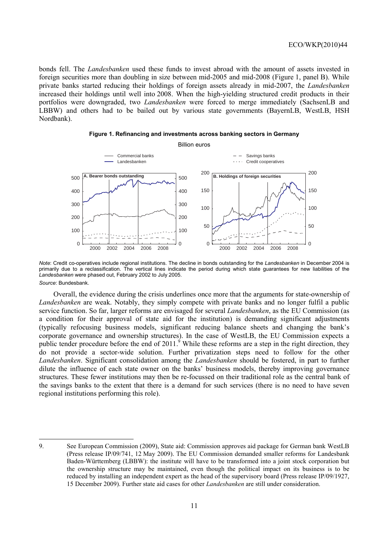bonds fell. The *Landesbanken* used these funds to invest abroad with the amount of assets invested in foreign securities more than doubling in size between mid-2005 and mid-2008 (Figure 1, panel B). While private banks started reducing their holdings of foreign assets already in mid-2007, the *Landesbanken* increased their holdings until well into 2008. When the high-yielding structured credit products in their portfolios were downgraded, two *Landesbanken* were forced to merge immediately (SachsenLB and LBBW) and others had to be bailed out by various state governments (BayernLB, WestLB, HSH Nordbank).



#### **Figure 1. Refinancing and investments across banking sectors in Germany**

*Note*: Credit co-operatives include regional institutions. The decline in bonds outstanding for the *Landesbanken* in December 2004 is primarily due to a reclassification. The vertical lines indicate the period during which state guarantees for new liabilities of the *Landesbanken* were phased out, February 2002 to July 2005. *Source*: Bundesbank.

Overall, the evidence during the crisis underlines once more that the arguments for state-ownership of *Landesbanken* are weak. Notably, they simply compete with private banks and no longer fulfil a public service function. So far, larger reforms are envisaged for several *Landesbanken*, as the EU Commission (as a condition for their approval of state aid for the institution) is demanding significant adjustments (typically refocusing business models, significant reducing balance sheets and changing the bank's corporate governance and ownership structures). In the case of WestLB, the EU Commission expects a public tender procedure before the end of 2011.<sup>9</sup> While these reforms are a step in the right direction, they do not provide a sector-wide solution. Further privatization steps need to follow for the other *Landesbanken*. Significant consolidation among the *Landesbanken* should be fostered, in part to further dilute the influence of each state owner on the banks' business models, thereby improving governance structures. These fewer institutions may then be re-focussed on their traditional role as the central bank of the savings banks to the extent that there is a demand for such services (there is no need to have seven regional institutions performing this role).

 $\overline{a}$ 9. See European Commission (2009), State aid: Commission approves aid package for German bank WestLB (Press release IP/09/741, 12 May 2009). The EU Commission demanded smaller reforms for Landesbank Baden-Württemberg (LBBW): the institute will have to be transformed into a joint stock corporation but the ownership structure may be maintained, even though the political impact on its business is to be reduced by installing an independent expert as the head of the supervisory board (Press release IP/09/1927, 15 December 2009). Further state aid cases for other *Landesbanken* are still under consideration.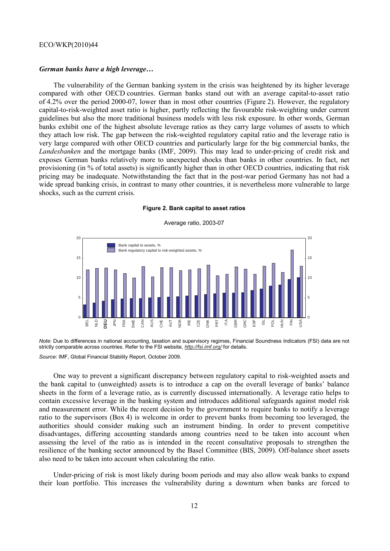#### *German banks have a high leverage…*

The vulnerability of the German banking system in the crisis was heightened by its higher leverage compared with other OECD countries. German banks stand out with an average capital-to-asset ratio of 4.2% over the period 2000-07, lower than in most other countries (Figure 2). However, the regulatory capital-to-risk-weighted asset ratio is higher, partly reflecting the favourable risk-weighting under current guidelines but also the more traditional business models with less risk exposure. In other words, German banks exhibit one of the highest absolute leverage ratios as they carry large volumes of assets to which they attach low risk. The gap between the risk-weighted regulatory capital ratio and the leverage ratio is very large compared with other OECD countries and particularly large for the big commercial banks, the *Landesbanken* and the mortgage banks (IMF, 2009). This may lead to under-pricing of credit risk and exposes German banks relatively more to unexpected shocks than banks in other countries. In fact, net provisioning (in % of total assets) is significantly higher than in other OECD countries, indicating that risk pricing may be inadequate. Notwithstanding the fact that in the post-war period Germany has not had a wide spread banking crisis, in contrast to many other countries, it is nevertheless more vulnerable to large shocks, such as the current crisis.

#### **Figure 2. Bank capital to asset ratios**



#### Average ratio, 2003-07

*Note*: Due to differences in national accounting, taxation and supervisory regimes, Financial Soundness Indicators (FSI) data are not strictly comparable across countries. Refer to the FSI website, *http://fsi.imf.org/* for details.

*Source*: IMF, Global Financial Stability Report, October 2009.

One way to prevent a significant discrepancy between regulatory capital to risk-weighted assets and the bank capital to (unweighted) assets is to introduce a cap on the overall leverage of banks' balance sheets in the form of a leverage ratio, as is currently discussed internationally. A leverage ratio helps to contain excessive leverage in the banking system and introduces additional safeguards against model risk and measurement error. While the recent decision by the government to require banks to notify a leverage ratio to the supervisors (Box 4) is welcome in order to prevent banks from becoming too leveraged, the authorities should consider making such an instrument binding. In order to prevent competitive disadvantages, differing accounting standards among countries need to be taken into account when assessing the level of the ratio as is intended in the recent consultative proposals to strengthen the resilience of the banking sector announced by the Basel Committee (BIS, 2009). Off-balance sheet assets also need to be taken into account when calculating the ratio.

Under-pricing of risk is most likely during boom periods and may also allow weak banks to expand their loan portfolio. This increases the vulnerability during a downturn when banks are forced to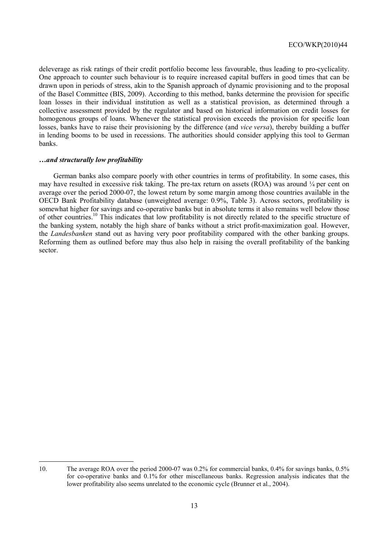deleverage as risk ratings of their credit portfolio become less favourable, thus leading to pro-cyclicality. One approach to counter such behaviour is to require increased capital buffers in good times that can be drawn upon in periods of stress, akin to the Spanish approach of dynamic provisioning and to the proposal of the Basel Committee (BIS, 2009). According to this method, banks determine the provision for specific loan losses in their individual institution as well as a statistical provision, as determined through a collective assessment provided by the regulator and based on historical information on credit losses for homogenous groups of loans. Whenever the statistical provision exceeds the provision for specific loan losses, banks have to raise their provisioning by the difference (and *vice versa*), thereby building a buffer in lending booms to be used in recessions. The authorities should consider applying this tool to German banks.

#### *…and structurally low profitability*

German banks also compare poorly with other countries in terms of profitability. In some cases, this may have resulted in excessive risk taking. The pre-tax return on assets (ROA) was around ¼ per cent on average over the period 2000-07, the lowest return by some margin among those countries available in the OECD Bank Profitability database (unweighted average: 0.9%, Table 3). Across sectors, profitability is somewhat higher for savings and co-operative banks but in absolute terms it also remains well below those of other countries.10 This indicates that low profitability is not directly related to the specific structure of the banking system, notably the high share of banks without a strict profit-maximization goal. However, the *Landesbanken* stand out as having very poor profitability compared with the other banking groups. Reforming them as outlined before may thus also help in raising the overall profitability of the banking sector.

 $\overline{a}$ 

<sup>10.</sup> The average ROA over the period 2000-07 was 0.2% for commercial banks, 0.4% for savings banks, 0.5% for co-operative banks and 0.1% for other miscellaneous banks. Regression analysis indicates that the lower profitability also seems unrelated to the economic cycle (Brunner et al., 2004).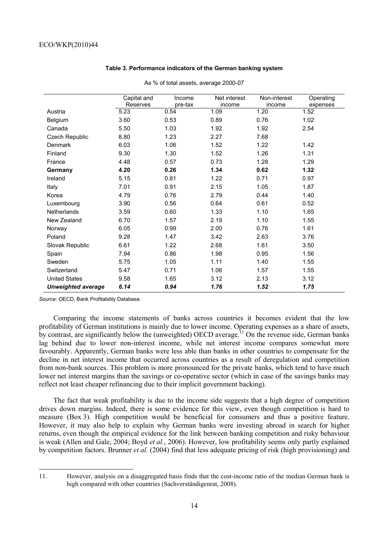|                           | Capital and | Income  | Net interest | Non-interest | Operating |
|---------------------------|-------------|---------|--------------|--------------|-----------|
|                           | Reserves    | pre-tax | income       | income       | expenses  |
| Austria                   | 5.23        | 0.54    | 1.09         | 1.20         | 1.52      |
| Belgium                   | 3.60        | 0.53    | 0.89         | 0.76         | 1.02      |
| Canada                    | 5.50        | 1.03    | 1.92         | 1.92         | 2.54      |
| Czech Republic            | 8.80        | 1.23    | 2.27         | 7.68         |           |
| <b>Denmark</b>            | 6.03        | 1.06    | 1.52         | 1.22         | 1.42      |
| Finland                   | 9.30        | 1.30    | 1.52         | 1.26         | 1.31      |
| France                    | 4.48        | 0.57    | 0.73         | 1.28         | 1.29      |
| Germany                   | 4.20        | 0.26    | 1.34         | 0.62         | 1.32      |
| Ireland                   | 5.15        | 0.81    | 1.22         | 0.71         | 0.97      |
| Italy                     | 7.01        | 0.91    | 2.15         | 1.05         | 1.87      |
| Korea                     | 4.79        | 0.76    | 2.79         | 0.44         | 1.40      |
| Luxembourg                | 3.90        | 0.56    | 0.64         | 0.61         | 0.52      |
| Netherlands               | 3.59        | 0.60    | 1.33         | 1.10         | 1.65      |
| New Zealand               | 6.70        | 1.57    | 2.19         | 1.10         | 1.55      |
| Norway                    | 6.05        | 0.99    | 2.00         | 0.76         | 1.61      |
| Poland                    | 9.28        | 1.47    | 3.42         | 2.63         | 3.76      |
| Slovak Republic           | 6.61        | 1.22    | 2.68         | 1.61         | 3.50      |
| Spain                     | 7.94        | 0.86    | 1.98         | 0.95         | 1.56      |
| Sweden                    | 5.75        | 1.05    | 1.11         | 1.40         | 1.55      |
| Switzerland               | 5.47        | 0.71    | 1.06         | 1.57         | 1.55      |
| <b>United States</b>      | 9.58        | 1.65    | 3.12         | 2.13         | 3.12      |
| <b>Unweighted average</b> | 6.14        | 0.94    | 1.76         | 1.52         | 1.75      |

As % of total assets, average 2000-07

**Table 3. Performance indicators of the German banking system** 

*Source*: OECD, Bank Profitability Database.

 $\overline{a}$ 

Comparing the income statements of banks across countries it becomes evident that the low profitability of German institutions is mainly due to lower income. Operating expenses as a share of assets, by contrast, are significantly below the (unweighted) OECD average.<sup>11</sup> On the revenue side, German banks lag behind due to lower non-interest income, while net interest income compares somewhat more favourably. Apparently, German banks were less able than banks in other countries to compensate for the decline in net interest income that occurred across countries as a result of deregulation and competition from non-bank sources. This problem is more pronounced for the private banks, which tend to have much lower net interest margins than the savings or co-operative sector (which in case of the savings banks may reflect not least cheaper refinancing due to their implicit government backing).

The fact that weak profitability is due to the income side suggests that a high degree of competition drives down margins. Indeed, there is some evidence for this view, even though competition is hard to measure (Box 3). High competition would be beneficial for consumers and thus a positive feature. However, it may also help to explain why German banks were investing abroad in search for higher returns, even though the empirical evidence for the link between banking competition and risky behaviour is weak (Allen and Gale, 2004; Boyd *et al.*, 2006). However, low profitability seems only partly explained by competition factors. Brunner *et al.* (2004) find that less adequate pricing of risk (high provisioning) and

<sup>11.</sup> However, analysis on a disaggregated basis finds that the cost-income ratio of the median German bank is high compared with other countries (Sachverständigenrat, 2008).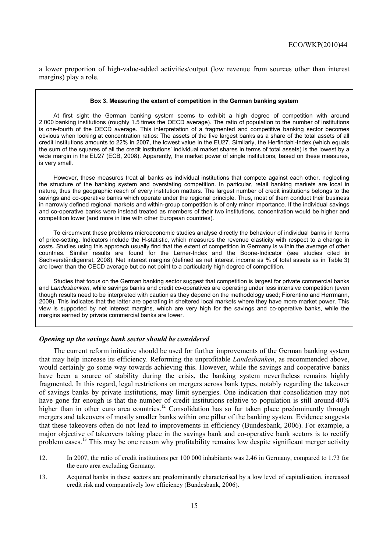a lower proportion of high-value-added activities/output (low revenue from sources other than interest margins) play a role.

#### **Box 3. Measuring the extent of competition in the German banking system**

At first sight the German banking system seems to exhibit a high degree of competition with around 2 000 banking institutions (roughly 1.5 times the OECD average). The ratio of population to the number of institutions is one-fourth of the OECD average. This interpretation of a fragmented and competitive banking sector becomes obvious when looking at concentration ratios: The assets of the five largest banks as a share of the total assets of all credit institutions amounts to 22% in 2007, the lowest value in the EU27. Similarly, the Herfindahl-Index (which equals the sum of the squares of all the credit institutions' individual market shares in terms of total assets) is the lowest by a wide margin in the EU27 (ECB, 2008). Apparently, the market power of single institutions, based on these measures, is very small.

However, these measures treat all banks as individual institutions that compete against each other, neglecting the structure of the banking system and overstating competition. In particular, retail banking markets are local in nature, thus the geographic reach of every institution matters. The largest number of credit institutions belongs to the savings and co-operative banks which operate under the regional principle. Thus, most of them conduct their business in narrowly defined regional markets and within-group competition is of only minor importance. If the individual savings and co-operative banks were instead treated as members of their two institutions, concentration would be higher and competition lower (and more in line with other European countries).

To circumvent these problems microeconomic studies analyse directly the behaviour of individual banks in terms of price-setting. Indicators include the H-statistic, which measures the revenue elasticity with respect to a change in costs. Studies using this approach usually find that the extent of competition in Germany is within the average of other countries. Similar results are found for the Lerner-Index and the Boone-Indicator (see studies cited in Sachverständigenrat, 2008). Net interest margins (defined as net interest income as % of total assets as in Table 3) are lower than the OECD average but do not point to a particularly high degree of competition.

Studies that focus on the German banking sector suggest that competition is largest for private commercial banks and *Landesbanken*, while savings banks and credit co-operatives are operating under less intensive competition (even though results need to be interpreted with caution as they depend on the methodology used; Fiorentino and Herrmann, 2009). This indicates that the latter are operating in sheltered local markets where they have more market power. This view is supported by net interest margins, which are very high for the savings and co-operative banks, while the margins earned by private commercial banks are lower.

#### *Opening up the savings bank sector should be considered*

The current reform initiative should be used for further improvements of the German banking system that may help increase its efficiency. Reforming the unprofitable *Landesbanken*, as recommended above, would certainly go some way towards achieving this. However, while the savings and cooperative banks have been a source of stability during the crisis, the banking system nevertheless remains highly fragmented. In this regard, legal restrictions on mergers across bank types, notably regarding the takeover of savings banks by private institutions, may limit synergies. One indication that consolidation may not have gone far enough is that the number of credit institutions relative to population is still around 40% higher than in other euro area countries.<sup>12</sup> Consolidation has so far taken place predominantly through mergers and takeovers of mostly smaller banks within one pillar of the banking system. Evidence suggests that these takeovers often do not lead to improvements in efficiency (Bundesbank, 2006). For example, a major objective of takeovers taking place in the savings bank and co-operative bank sectors is to rectify problem cases.13 This may be one reason why profitability remains low despite significant merger activity

<sup>12.</sup> In 2007, the ratio of credit institutions per 100 000 inhabitants was 2.46 in Germany, compared to 1.73 for the euro area excluding Germany.

<sup>13.</sup> Acquired banks in these sectors are predominantly characterised by a low level of capitalisation, increased credit risk and comparatively low efficiency (Bundesbank, 2006).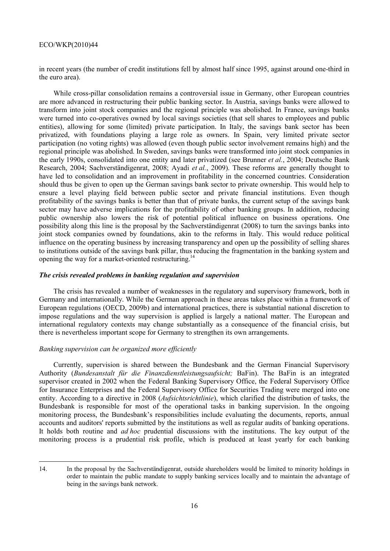in recent years (the number of credit institutions fell by almost half since 1995, against around one-third in the euro area).

While cross-pillar consolidation remains a controversial issue in Germany, other European countries are more advanced in restructuring their public banking sector. In Austria, savings banks were allowed to transform into joint stock companies and the regional principle was abolished. In France, savings banks were turned into co-operatives owned by local savings societies (that sell shares to employees and public entities), allowing for some (limited) private participation. In Italy, the savings bank sector has been privatized, with foundations playing a large role as owners. In Spain, very limited private sector participation (no voting rights) was allowed (even though public sector involvement remains high) and the regional principle was abolished. In Sweden, savings banks were transformed into joint stock companies in the early 1990s, consolidated into one entity and later privatized (see Brunner *et al.*, 2004; Deutsche Bank Research, 2004; Sachverständigenrat, 2008; Ayadi *et al.*, 2009). These reforms are generally thought to have led to consolidation and an improvement in profitability in the concerned countries. Consideration should thus be given to open up the German savings bank sector to private ownership. This would help to ensure a level playing field between public sector and private financial institutions. Even though profitability of the savings banks is better than that of private banks, the current setup of the savings bank sector may have adverse implications for the profitability of other banking groups. In addition, reducing public ownership also lowers the risk of potential political influence on business operations. One possibility along this line is the proposal by the Sachverständigenrat (2008) to turn the savings banks into joint stock companies owned by foundations, akin to the reforms in Italy. This would reduce political influence on the operating business by increasing transparency and open up the possibility of selling shares to institutions outside of the savings bank pillar, thus reducing the fragmentation in the banking system and opening the way for a market-oriented restructuring.<sup>14</sup>

#### *The crisis revealed problems in banking regulation and supervision*

The crisis has revealed a number of weaknesses in the regulatory and supervisory framework, both in Germany and internationally. While the German approach in these areas takes place within a framework of European regulations (OECD, 2009b) and international practices, there is substantial national discretion to impose regulations and the way supervision is applied is largely a national matter. The European and international regulatory contexts may change substantially as a consequence of the financial crisis, but there is nevertheless important scope for Germany to strengthen its own arrangements.

#### *Banking supervision can be organized more efficiently*

 $\overline{a}$ 

Currently, supervision is shared between the Bundesbank and the German Financial Supervisory Authority (*Bundesanstalt für die Finanzdienstleistungsaufsicht;* BaFin). The BaFin is an integrated supervisor created in 2002 when the Federal Banking Supervisory Office, the Federal Supervisory Office for Insurance Enterprises and the Federal Supervisory Office for Securities Trading were merged into one entity. According to a directive in 2008 (*Aufsichtsrichtlinie*), which clarified the distribution of tasks, the Bundesbank is responsible for most of the operational tasks in banking supervision. In the ongoing monitoring process, the Bundesbank's responsibilities include evaluating the documents, reports, annual accounts and auditors' reports submitted by the institutions as well as regular audits of banking operations. It holds both routine and *ad hoc* prudential discussions with the institutions. The key output of the monitoring process is a prudential risk profile, which is produced at least yearly for each banking

<sup>14.</sup> In the proposal by the Sachverständigenrat, outside shareholders would be limited to minority holdings in order to maintain the public mandate to supply banking services locally and to maintain the advantage of being in the savings bank network.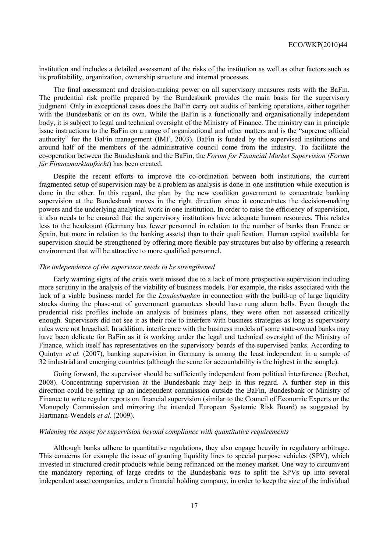institution and includes a detailed assessment of the risks of the institution as well as other factors such as its profitability, organization, ownership structure and internal processes.

The final assessment and decision-making power on all supervisory measures rests with the BaFin. The prudential risk profile prepared by the Bundesbank provides the main basis for the supervisory judgment. Only in exceptional cases does the BaFin carry out audits of banking operations, either together with the Bundesbank or on its own. While the BaFin is a functionally and organisationally independent body, it is subject to legal and technical oversight of the Ministry of Finance. The ministry can in principle issue instructions to the BaFin on a range of organizational and other matters and is the "supreme official authority" for the BaFin management (IMF, 2003). BaFin is funded by the supervised institutions and around half of the members of the administrative council come from the industry. To facilitate the co-operation between the Bundesbank and the BaFin, the *Forum for Financial Market Supervision (Forum für Finanzmarktaufsicht*) has been created.

Despite the recent efforts to improve the co-ordination between both institutions, the current fragmented setup of supervision may be a problem as analysis is done in one institution while execution is done in the other. In this regard, the plan by the new coalition government to concentrate banking supervision at the Bundesbank moves in the right direction since it concentrates the decision-making powers and the underlying analytical work in one institution. In order to raise the efficiency of supervision, it also needs to be ensured that the supervisory institutions have adequate human resources. This relates less to the headcount (Germany has fewer personnel in relation to the number of banks than France or Spain, but more in relation to the banking assets) than to their qualification. Human capital available for supervision should be strengthened by offering more flexible pay structures but also by offering a research environment that will be attractive to more qualified personnel.

#### *The independence of the supervisor needs to be strengthened*

Early warning signs of the crisis were missed due to a lack of more prospective supervision including more scrutiny in the analysis of the viability of business models. For example, the risks associated with the lack of a viable business model for the *Landesbanken* in connection with the build-up of large liquidity stocks during the phase-out of government guarantees should have rung alarm bells. Even though the prudential risk profiles include an analysis of business plans, they were often not assessed critically enough. Supervisors did not see it as their role to interfere with business strategies as long as supervisory rules were not breached. In addition, interference with the business models of some state-owned banks may have been delicate for BaFin as it is working under the legal and technical oversight of the Ministry of Finance, which itself has representatives on the supervisory boards of the supervised banks. According to Quintyn *et al.* (2007), banking supervision in Germany is among the least independent in a sample of 32 industrial and emerging countries (although the score for accountability is the highest in the sample).

Going forward, the supervisor should be sufficiently independent from political interference (Rochet, 2008). Concentrating supervision at the Bundesbank may help in this regard. A further step in this direction could be setting up an independent commission outside the BaFin, Bundesbank or Ministry of Finance to write regular reports on financial supervision (similar to the Council of Economic Experts or the Monopoly Commission and mirroring the intended European Systemic Risk Board) as suggested by Hartmann-Wendels *et al.* (2009).

#### *Widening the scope for supervision beyond compliance with quantitative requirements*

Although banks adhere to quantitative regulations, they also engage heavily in regulatory arbitrage. This concerns for example the issue of granting liquidity lines to special purpose vehicles (SPV), which invested in structured credit products while being refinanced on the money market. One way to circumvent the mandatory reporting of large credits to the Bundesbank was to split the SPVs up into several independent asset companies, under a financial holding company, in order to keep the size of the individual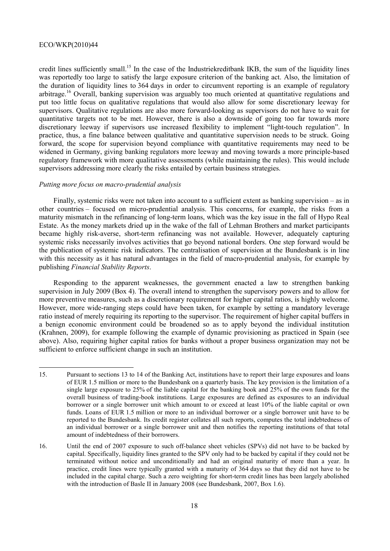$\overline{a}$ 

credit lines sufficiently small.<sup>15</sup> In the case of the Industriekreditbank IKB, the sum of the liquidity lines was reportedly too large to satisfy the large exposure criterion of the banking act. Also, the limitation of the duration of liquidity lines to 364 days in order to circumvent reporting is an example of regulatory arbitrage.16 Overall, banking supervision was arguably too much oriented at quantitative regulations and put too little focus on qualitative regulations that would also allow for some discretionary leeway for supervisors. Qualitative regulations are also more forward-looking as supervisors do not have to wait for quantitative targets not to be met. However, there is also a downside of going too far towards more discretionary leeway if supervisors use increased flexibility to implement "light-touch regulation". In practice, thus, a fine balance between qualitative and quantitative supervision needs to be struck. Going forward, the scope for supervision beyond compliance with quantitative requirements may need to be widened in Germany, giving banking regulators more leeway and moving towards a more principle-based regulatory framework with more qualitative assessments (while maintaining the rules). This would include supervisors addressing more clearly the risks entailed by certain business strategies.

#### *Putting more focus on macro-prudential analysis*

Finally, systemic risks were not taken into account to a sufficient extent as banking supervision – as in other countries – focused on micro-prudential analysis. This concerns, for example, the risks from a maturity mismatch in the refinancing of long-term loans, which was the key issue in the fall of Hypo Real Estate. As the money markets dried up in the wake of the fall of Lehman Brothers and market participants became highly risk-averse, short-term refinancing was not available. However, adequately capturing systemic risks necessarily involves activities that go beyond national borders. One step forward would be the publication of systemic risk indicators. The centralisation of supervision at the Bundesbank is in line with this necessity as it has natural advantages in the field of macro-prudential analysis, for example by publishing *Financial Stability Reports*.

Responding to the apparent weaknesses, the government enacted a law to strengthen banking supervision in July 2009 (Box 4). The overall intend to strengthen the supervisory powers and to allow for more preventive measures, such as a discretionary requirement for higher capital ratios, is highly welcome. However, more wide-ranging steps could have been taken, for example by setting a mandatory leverage ratio instead of merely requiring its reporting to the supervisor. The requirement of higher capital buffers in a benign economic environment could be broadened so as to apply beyond the individual institution (Krahnen, 2009), for example following the example of dynamic provisioning as practiced in Spain (see above). Also, requiring higher capital ratios for banks without a proper business organization may not be sufficient to enforce sufficient change in such an institution.

<sup>15.</sup> Pursuant to sections 13 to 14 of the Banking Act, institutions have to report their large exposures and loans of EUR 1.5 million or more to the Bundesbank on a quarterly basis. The key provision is the limitation of a single large exposure to 25% of the liable capital for the banking book and 25% of the own funds for the overall business of trading-book institutions. Large exposures are defined as exposures to an individual borrower or a single borrower unit which amount to or exceed at least 10% of the liable capital or own funds. Loans of EUR 1.5 million or more to an individual borrower or a single borrower unit have to be reported to the Bundesbank. Its credit register collates all such reports, computes the total indebtedness of an individual borrower or a single borrower unit and then notifies the reporting institutions of that total amount of indebtedness of their borrowers.

<sup>16.</sup> Until the end of 2007 exposure to such off-balance sheet vehicles (SPVs) did not have to be backed by capital. Specifically, liquidity lines granted to the SPV only had to be backed by capital if they could not be terminated without notice and unconditionally and had an original maturity of more than a year. In practice, credit lines were typically granted with a maturity of 364 days so that they did not have to be included in the capital charge. Such a zero weighting for short-term credit lines has been largely abolished with the introduction of Basle II in January 2008 (see Bundesbank, 2007, Box 1.6).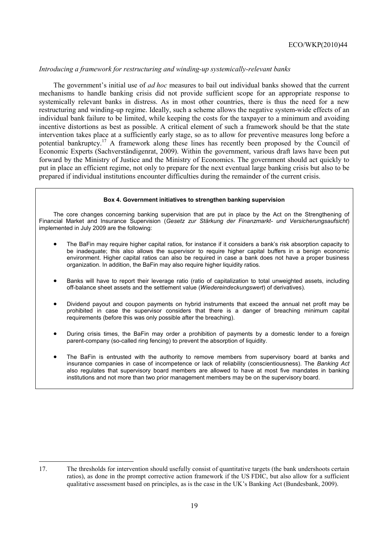#### *Introducing a framework for restructuring and winding-up systemically-relevant banks*

The government's initial use of *ad hoc* measures to bail out individual banks showed that the current mechanisms to handle banking crisis did not provide sufficient scope for an appropriate response to systemically relevant banks in distress. As in most other countries, there is thus the need for a new restructuring and winding-up regime. Ideally, such a scheme allows the negative system-wide effects of an individual bank failure to be limited, while keeping the costs for the taxpayer to a minimum and avoiding incentive distortions as best as possible. A critical element of such a framework should be that the state intervention takes place at a sufficiently early stage, so as to allow for preventive measures long before a potential bankruptcy.<sup>17</sup> A framework along these lines has recently been proposed by the Council of Economic Experts (Sachverständigenrat, 2009). Within the government, various draft laws have been put forward by the Ministry of Justice and the Ministry of Economics. The government should act quickly to put in place an efficient regime, not only to prepare for the next eventual large banking crisis but also to be prepared if individual institutions encounter difficulties during the remainder of the current crisis.

#### **Box 4. Government initiatives to strengthen banking supervision**

The core changes concerning banking supervision that are put in place by the Act on the Strengthening of Financial Market and Insurance Supervision (*Gesetz zur Stärkung der Finanzmarkt- und Versicherungsaufsicht*) implemented in July 2009 are the following:

- The BaFin may require higher capital ratios, for instance if it considers a bank's risk absorption capacity to be inadequate; this also allows the supervisor to require higher capital buffers in a benign economic environment. Higher capital ratios can also be required in case a bank does not have a proper business organization. In addition, the BaFin may also require higher liquidity ratios.
- Banks will have to report their leverage ratio (ratio of capitalization to total unweighted assets, including off-balance sheet assets and the settlement value (*Wiedereindeckungswert*) of derivatives).
- Dividend payout and coupon payments on hybrid instruments that exceed the annual net profit may be prohibited in case the supervisor considers that there is a danger of breaching minimum capital requirements (before this was only possible after the breaching).
- During crisis times, the BaFin may order a prohibition of payments by a domestic lender to a foreign parent-company (so-called ring fencing) to prevent the absorption of liquidity.
- The BaFin is entrusted with the authority to remove members from supervisory board at banks and insurance companies in case of incompetence or lack of reliability (conscientiousness). The *Banking Act* also regulates that supervisory board members are allowed to have at most five mandates in banking institutions and not more than two prior management members may be on the supervisory board.

 $\overline{a}$ 17. The thresholds for intervention should usefully consist of quantitative targets (the bank undershoots certain ratios), as done in the prompt corrective action framework if the US FDIC, but also allow for a sufficient qualitative assessment based on principles, as is the case in the UK's Banking Act (Bundesbank, 2009).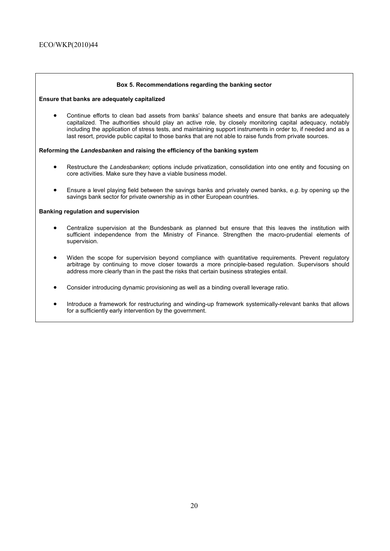#### **Box 5. Recommendations regarding the banking sector**

#### **Ensure that banks are adequately capitalized**

• Continue efforts to clean bad assets from banks' balance sheets and ensure that banks are adequately capitalized. The authorities should play an active role, by closely monitoring capital adequacy, notably including the application of stress tests, and maintaining support instruments in order to, if needed and as a last resort, provide public capital to those banks that are not able to raise funds from private sources.

#### **Reforming the** *Landesbanken* **and raising the efficiency of the banking system**

- Restructure the *Landesbanken*; options include privatization, consolidation into one entity and focusing on core activities. Make sure they have a viable business model.
- Ensure a level playing field between the savings banks and privately owned banks, *e.g*. by opening up the savings bank sector for private ownership as in other European countries.

#### **Banking regulation and supervision**

- Centralize supervision at the Bundesbank as planned but ensure that this leaves the institution with sufficient independence from the Ministry of Finance. Strengthen the macro-prudential elements of supervision.
- Widen the scope for supervision beyond compliance with quantitative requirements. Prevent regulatory arbitrage by continuing to move closer towards a more principle-based regulation. Supervisors should address more clearly than in the past the risks that certain business strategies entail.
- Consider introducing dynamic provisioning as well as a binding overall leverage ratio.
- Introduce a framework for restructuring and winding-up framework systemically-relevant banks that allows for a sufficiently early intervention by the government.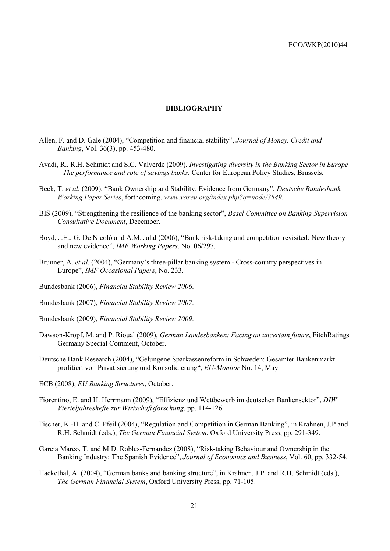#### **BIBLIOGRAPHY**

- Allen, F. and D. Gale (2004), "Competition and financial stability", *Journal of Money, Credit and Banking*, Vol. 36(3), pp. 453-480.
- Ayadi, R., R.H. Schmidt and S.C. Valverde (2009), *Investigating diversity in the Banking Sector in Europe – The performance and role of savings banks*, Center for European Policy Studies, Brussels.
- Beck, T. *et al.* (2009), "Bank Ownership and Stability: Evidence from Germany", *Deutsche Bundesbank Working Paper Series*, forthcoming. *www.voxeu.org/index.php?q=node/3549*.
- BIS (2009), "Strengthening the resilience of the banking sector", *Basel Committee on Banking Supervision Consultative Document*, December.
- Boyd, J.H., G. De Nicoló and A.M. Jalal (2006), "Bank risk-taking and competition revisited: New theory and new evidence", *IMF Working Papers*, No. 06/297.
- Brunner, A. *et al.* (2004), "Germany's three-pillar banking system Cross-country perspectives in Europe", *IMF Occasional Papers*, No. 233.
- Bundesbank (2006), *Financial Stability Review 2006*.
- Bundesbank (2007), *Financial Stability Review 2007*.
- Bundesbank (2009), *Financial Stability Review 2009*.
- Dawson-Kropf, M. and P. Rioual (2009), *German Landesbanken: Facing an uncertain future*, FitchRatings Germany Special Comment, October.
- Deutsche Bank Research (2004), "Gelungene Sparkassenreform in Schweden: Gesamter Bankenmarkt profitiert von Privatisierung und Konsolidierung", *EU-Monitor* No. 14, May.
- ECB (2008), *EU Banking Structures*, October.
- Fiorentino, E. and H. Herrmann (2009), "Effizienz und Wettbewerb im deutschen Bankensektor", *DIW Vierteljahreshefte zur Wirtschaftsforschung*, pp. 114-126.
- Fischer, K.-H. and C. Pfeil (2004), "Regulation and Competition in German Banking", in Krahnen, J.P and R.H. Schmidt (eds.), *The German Financial System*, Oxford University Press, pp. 291-349.
- Garcia Marco, T. and M.D. Robles-Fernandez (2008), "Risk-taking Behaviour and Ownership in the Banking Industry: The Spanish Evidence", *Journal of Economics and Business*, Vol. 60, pp. 332-54.
- Hackethal, A. (2004), "German banks and banking structure", in Krahnen, J.P. and R.H. Schmidt (eds.), *The German Financial System*, Oxford University Press, pp. 71-105.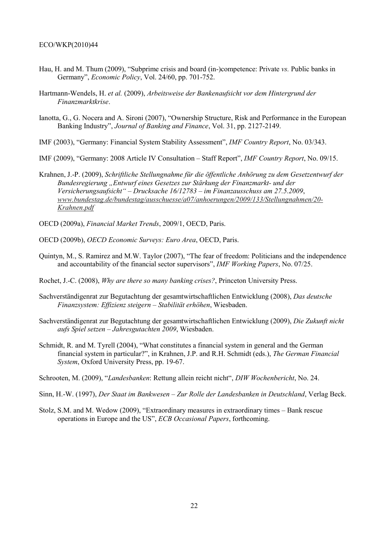- Hau, H. and M. Thum (2009), "Subprime crisis and board (in-)competence: Private *vs.* Public banks in Germany", *Economic Policy*, Vol. 24/60, pp. 701-752.
- Hartmann-Wendels, H. *et al.* (2009), *Arbeitsweise der Bankenaufsicht vor dem Hintergrund der Finanzmarktkrise*.
- Ianotta, G., G. Nocera and A. Sironi (2007), "Ownership Structure, Risk and Performance in the European Banking Industry", *Journal of Banking and Finance*, Vol. 31, pp. 2127-2149.
- IMF (2003), "Germany: Financial System Stability Assessment", *IMF Country Report*, No. 03/343.
- IMF (2009), "Germany: 2008 Article IV Consultation Staff Report", *IMF Country Report*, No. 09/15.
- Krahnen, J.-P. (2009), *Schriftliche Stellungnahme für die öffentliche Anhörung zu dem Gesetzentwurf der Bundesregierung "Entwurf eines Gesetzes zur Stärkung der Finanzmarkt- und der Versicherungsaufsicht" – Drucksache 16/12783 – im Finanzausschuss am 27.5.2009*, *www.bundestag.de/bundestag/ausschuesse/a07/anhoerungen/2009/133/Stellungnahmen/20- Krahnen.pdf*
- OECD (2009a), *Financial Market Trends*, 2009/1, OECD, Paris.
- OECD (2009b), *OECD Economic Surveys: Euro Area*, OECD, Paris.
- Quintyn, M., S. Ramirez and M.W. Taylor (2007), "The fear of freedom: Politicians and the independence and accountability of the financial sector supervisors", *IMF Working Papers*, No. 07/25.
- Rochet, J.-C. (2008), *Why are there so many banking crises?*, Princeton University Press.
- Sachverständigenrat zur Begutachtung der gesamtwirtschaftlichen Entwicklung (2008), *Das deutsche Finanzsystem: Effizienz steigern – Stabilität erhöhen*, Wiesbaden.
- Sachverständigenrat zur Begutachtung der gesamtwirtschaftlichen Entwicklung (2009), *Die Zukunft nicht aufs Spiel setzen – Jahresgutachten 2009*, Wiesbaden.
- Schmidt, R. and M. Tyrell (2004), "What constitutes a financial system in general and the German financial system in particular?", in Krahnen, J.P. and R.H. Schmidt (eds.), *The German Financial System*, Oxford University Press, pp. 19-67.
- Schrooten, M. (2009), "*Landesbanken*: Rettung allein reicht nicht", *DIW Wochenbericht*, No. 24.
- Sinn, H.-W. (1997), *Der Staat im Bankwesen Zur Rolle der Landesbanken in Deutschland*, Verlag Beck.
- Stolz, S.M. and M. Wedow (2009), "Extraordinary measures in extraordinary times Bank rescue operations in Europe and the US", *ECB Occasional Papers*, forthcoming.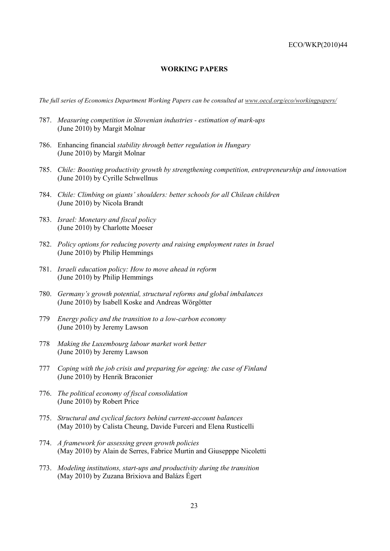### **WORKING PAPERS**

*The full series of Economics Department Working Papers can be consulted at www.oecd.org/eco/workingpapers/*

- 787. *Measuring competition in Slovenian industries estimation of mark-ups*  (June 2010) by Margit Molnar
- 786. Enhancing financial *stability through better regulation in Hungary*  (June 2010) by Margit Molnar
- 785. *Chile: Boosting productivity growth by strengthening competition, entrepreneurship and innovation*  (June 2010) by Cyrille Schwellnus
- 784. *Chile: Climbing on giants' shoulders: better schools for all Chilean children*  (June 2010) by Nicola Brandt
- 783. *Israel: Monetary and fiscal policy*  (June 2010) by Charlotte Moeser
- 782. *Policy options for reducing poverty and raising employment rates in Israel*  (June 2010) by Philip Hemmings
- 781. *Israeli education policy: How to move ahead in reform*  (June 2010) by Philip Hemmings
- 780. *Germany's growth potential, structural reforms and global imbalances*  (June 2010) by Isabell Koske and Andreas Wörgötter
- 779 *Energy policy and the transition to a low-carbon economy* (June 2010) by Jeremy Lawson
- 778 *Making the Luxembourg labour market work better* (June 2010) by Jeremy Lawson
- 777 *Coping with the job crisis and preparing for ageing: the case of Finland* (June 2010) by Henrik Braconier
- 776. *The political economy of fiscal consolidation*  (June 2010) by Robert Price
- 775. *Structural and cyclical factors behind current-account balances*  (May 2010) by Calista Cheung, Davide Furceri and Elena Rusticelli
- 774. *A framework for assessing green growth policies*  (May 2010) by Alain de Serres, Fabrice Murtin and Giusepppe Nicoletti
- 773. *Modeling institutions, start-ups and productivity during the transition* (May 2010) by Zuzana Brixiova and Balázs Égert